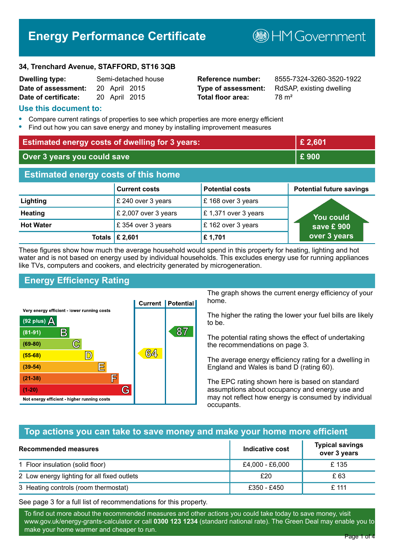# **Energy Performance Certificate**

**MGovernment** 

#### **34, Trenchard Avenue, STAFFORD, ST16 3QB**

| <b>Dwelling type:</b> | Semi-detached house |               |  |
|-----------------------|---------------------|---------------|--|
| Date of assessment:   |                     | 20 April 2015 |  |
| Date of certificate:  |                     | 20 April 2015 |  |

# **Total floor area:** 78 m<sup>2</sup>

**Dwelling type:** Semi-detached house **Reference number:** 8555-7324-3260-3520-1922 **Type of assessment:** RdSAP, existing dwelling

## **Use this document to:**

- **•** Compare current ratings of properties to see which properties are more energy efficient
- **•** Find out how you can save energy and money by installing improvement measures

| <b>Estimated energy costs of dwelling for 3 years:</b> |                           |                        | £ 2,601                         |
|--------------------------------------------------------|---------------------------|------------------------|---------------------------------|
| Over 3 years you could save                            |                           | £900                   |                                 |
| <b>Estimated energy costs of this home</b>             |                           |                        |                                 |
|                                                        | <b>Current costs</b>      | <b>Potential costs</b> | <b>Potential future savings</b> |
| Lighting                                               | £ 240 over 3 years        | £168 over 3 years      |                                 |
| <b>Heating</b>                                         | £ 2,007 over 3 years      | £1,371 over 3 years    | <b>You could</b>                |
| <b>Hot Water</b>                                       | £ 354 over 3 years        | £162 over 3 years      | save £ $900$                    |
|                                                        | Totals $\mathsf{E}$ 2,601 | £1,701                 | over 3 years                    |

These figures show how much the average household would spend in this property for heating, lighting and hot water and is not based on energy used by individual households. This excludes energy use for running appliances like TVs, computers and cookers, and electricity generated by microgeneration.

# **Energy Efficiency Rating**



The graph shows the current energy efficiency of your home.

The higher the rating the lower your fuel bills are likely to be.

The potential rating shows the effect of undertaking the recommendations on page 3.

The average energy efficiency rating for a dwelling in England and Wales is band D (rating 60).

The EPC rating shown here is based on standard assumptions about occupancy and energy use and may not reflect how energy is consumed by individual occupants.

# **Top actions you can take to save money and make your home more efficient**

| Recommended measures                        | Indicative cost | <b>Typical savings</b><br>over 3 years |
|---------------------------------------------|-----------------|----------------------------------------|
| 1 Floor insulation (solid floor)            | £4,000 - £6,000 | £135                                   |
| 2 Low energy lighting for all fixed outlets | £20             | £ 63                                   |
| 3 Heating controls (room thermostat)        | £350 - £450     | £ 111                                  |

See page 3 for a full list of recommendations for this property.

To find out more about the recommended measures and other actions you could take today to save money, visit www.gov.uk/energy-grants-calculator or call **0300 123 1234** (standard national rate). The Green Deal may enable you to make your home warmer and cheaper to run.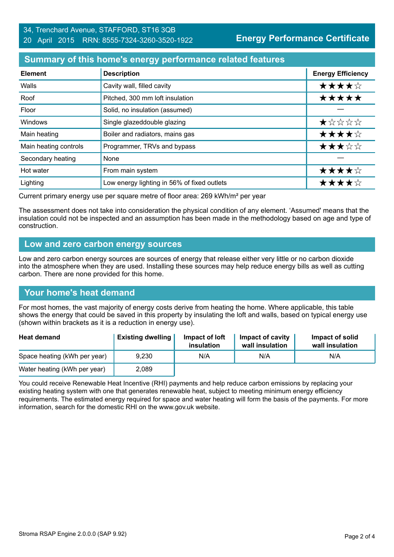# **Summary of this home's energy performance related features**

| <b>Element</b>        | <b>Description</b>                          | <b>Energy Efficiency</b> |
|-----------------------|---------------------------------------------|--------------------------|
| Walls                 | Cavity wall, filled cavity                  | ★★★★☆                    |
| Roof                  | Pitched, 300 mm loft insulation             | *****                    |
| Floor                 | Solid, no insulation (assumed)              |                          |
| Windows               | Single glazeddouble glazing                 | $\star$ * * * *          |
| Main heating          | Boiler and radiators, mains gas             | ★★★★☆                    |
| Main heating controls | Programmer, TRVs and bypass                 | ★★★☆☆                    |
| Secondary heating     | None                                        |                          |
| Hot water             | From main system                            | ★★★★☆                    |
| Lighting              | Low energy lighting in 56% of fixed outlets | ★★★★☆                    |

Current primary energy use per square metre of floor area: 269 kWh/m² per year

The assessment does not take into consideration the physical condition of any element. 'Assumed' means that the insulation could not be inspected and an assumption has been made in the methodology based on age and type of construction.

## **Low and zero carbon energy sources**

Low and zero carbon energy sources are sources of energy that release either very little or no carbon dioxide into the atmosphere when they are used. Installing these sources may help reduce energy bills as well as cutting carbon. There are none provided for this home.

# **Your home's heat demand**

For most homes, the vast majority of energy costs derive from heating the home. Where applicable, this table shows the energy that could be saved in this property by insulating the loft and walls, based on typical energy use (shown within brackets as it is a reduction in energy use).

| <b>Heat demand</b>           | <b>Existing dwelling</b> | Impact of loft<br>insulation | Impact of cavity<br>wall insulation | Impact of solid<br>wall insulation |
|------------------------------|--------------------------|------------------------------|-------------------------------------|------------------------------------|
| Space heating (kWh per year) | 9,230                    | N/A                          | N/A                                 | N/A                                |
| Water heating (kWh per year) | 2,089                    |                              |                                     |                                    |

You could receive Renewable Heat Incentive (RHI) payments and help reduce carbon emissions by replacing your existing heating system with one that generates renewable heat, subject to meeting minimum energy efficiency requirements. The estimated energy required for space and water heating will form the basis of the payments. For more information, search for the domestic RHI on the www.gov.uk website.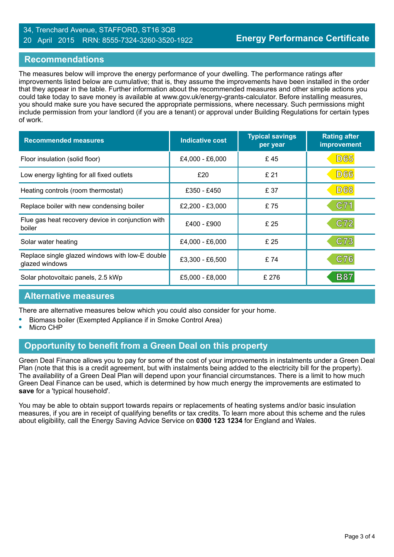#### 34, Trenchard Avenue, STAFFORD, ST16 3QB 20 April 2015 RRN: 8555-7324-3260-3520-1922

### **Recommendations**

The measures below will improve the energy performance of your dwelling. The performance ratings after improvements listed below are cumulative; that is, they assume the improvements have been installed in the order that they appear in the table. Further information about the recommended measures and other simple actions you could take today to save money is available at www.gov.uk/energy-grants-calculator. Before installing measures, you should make sure you have secured the appropriate permissions, where necessary. Such permissions might include permission from your landlord (if you are a tenant) or approval under Building Regulations for certain types of work.

| <b>Recommended measures</b>                                       | <b>Indicative cost</b> | <b>Typical savings</b><br>per year | <b>Rating after</b><br>improvement |
|-------------------------------------------------------------------|------------------------|------------------------------------|------------------------------------|
| Floor insulation (solid floor)                                    | £4,000 - £6,000        | £45                                | <b>D65</b>                         |
| Low energy lighting for all fixed outlets                         | £20                    | £ 21                               | <b>D66</b>                         |
| Heating controls (room thermostat)                                | £350 - £450            | £ 37                               | <b>D68</b>                         |
| Replace boiler with new condensing boiler                         | £2,200 - £3,000        | £75                                | C71                                |
| Flue gas heat recovery device in conjunction with<br>boiler       | £400 - £900            | £25                                | C72                                |
| Solar water heating                                               | £4,000 - £6,000        | £25                                | C73                                |
| Replace single glazed windows with low-E double<br>glazed windows | £3,300 - £6,500        | £74                                | C76                                |
| Solar photovoltaic panels, 2.5 kWp                                | £5,000 - £8,000        | £ 276                              | <b>B87</b>                         |

#### **Alternative measures**

There are alternative measures below which you could also consider for your home.

- **•** Biomass boiler (Exempted Appliance if in Smoke Control Area)
- **•** Micro CHP

#### **Opportunity to benefit from a Green Deal on this property**

Green Deal Finance allows you to pay for some of the cost of your improvements in instalments under a Green Deal Plan (note that this is a credit agreement, but with instalments being added to the electricity bill for the property). The availability of a Green Deal Plan will depend upon your financial circumstances. There is a limit to how much Green Deal Finance can be used, which is determined by how much energy the improvements are estimated to **save** for a 'typical household'.

You may be able to obtain support towards repairs or replacements of heating systems and/or basic insulation measures, if you are in receipt of qualifying benefits or tax credits. To learn more about this scheme and the rules about eligibility, call the Energy Saving Advice Service on **0300 123 1234** for England and Wales.